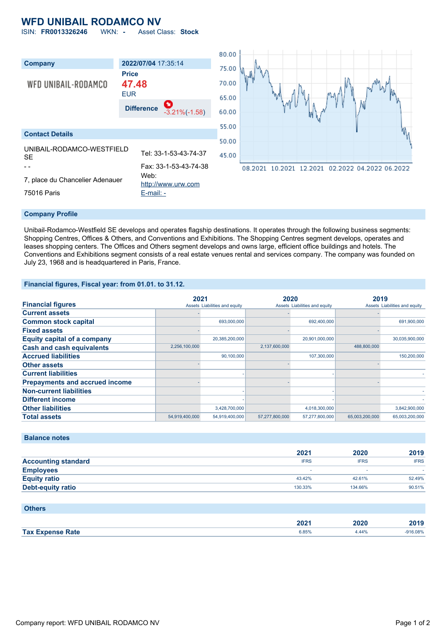## **WFD UNIBAIL RODAMCO NV**

ISIN: **FR0013326246** WKN: **-** Asset Class: **Stock**



#### **Company Profile**

Unibail-Rodamco-Westfield SE develops and operates flagship destinations. It operates through the following business segments: Shopping Centres, Offices & Others, and Conventions and Exhibitions. The Shopping Centres segment develops, operates and leases shopping centers. The Offices and Others segment develops and owns large, efficient office buildings and hotels. The Conventions and Exhibitions segment consists of a real estate venues rental and services company. The company was founded on July 23, 1968 and is headquartered in Paris, France.

### **Financial figures, Fiscal year: from 01.01. to 31.12.**

|                                       |                | 2021                          | 2020           |                               | 2019           |                               |
|---------------------------------------|----------------|-------------------------------|----------------|-------------------------------|----------------|-------------------------------|
| <b>Financial figures</b>              |                | Assets Liabilities and equity |                | Assets Liabilities and equity |                | Assets Liabilities and equity |
| <b>Current assets</b>                 |                |                               |                |                               |                |                               |
| <b>Common stock capital</b>           |                | 693,000,000                   |                | 692,400,000                   |                | 691,900,000                   |
| <b>Fixed assets</b>                   |                |                               |                |                               |                |                               |
| <b>Equity capital of a company</b>    |                | 20,385,200,000                |                | 20,901,000,000                |                | 30,035,900,000                |
| <b>Cash and cash equivalents</b>      | 2,256,100,000  |                               | 2,137,600,000  |                               | 488,800,000    |                               |
| <b>Accrued liabilities</b>            |                | 90.100.000                    |                | 107,300,000                   |                | 150,200,000                   |
| <b>Other assets</b>                   |                |                               |                |                               |                |                               |
| <b>Current liabilities</b>            |                |                               |                |                               |                |                               |
| <b>Prepayments and accrued income</b> |                |                               |                |                               |                |                               |
| <b>Non-current liabilities</b>        |                |                               |                |                               |                |                               |
| <b>Different income</b>               |                |                               |                |                               |                |                               |
| <b>Other liabilities</b>              |                | 3,428,700,000                 |                | 4,018,300,000                 |                | 3,842,900,000                 |
| <b>Total assets</b>                   | 54,919,400,000 | 54,919,400,000                | 57,277,800,000 | 57,277,800,000                | 65,003,200,000 | 65,003,200,000                |

### **Balance notes**

|                            | 2021        | 2020        | 2019        |
|----------------------------|-------------|-------------|-------------|
| <b>Accounting standard</b> | <b>IFRS</b> | <b>IFRS</b> | <b>IFRS</b> |
| <b>Employees</b>           |             | -           |             |
| <b>Equity ratio</b>        | 43.42%      | 42.61%      | 52.49%      |
| <b>Debt-equity ratio</b>   | 130.33%     | 134.66%     | 90.51%      |

| <b>Others</b>           |       |       |            |
|-------------------------|-------|-------|------------|
|                         | 2021  | 2020  | 2019       |
| <b>Tax Expense Rate</b> | 6.85% | 4.44% | $-916.08%$ |